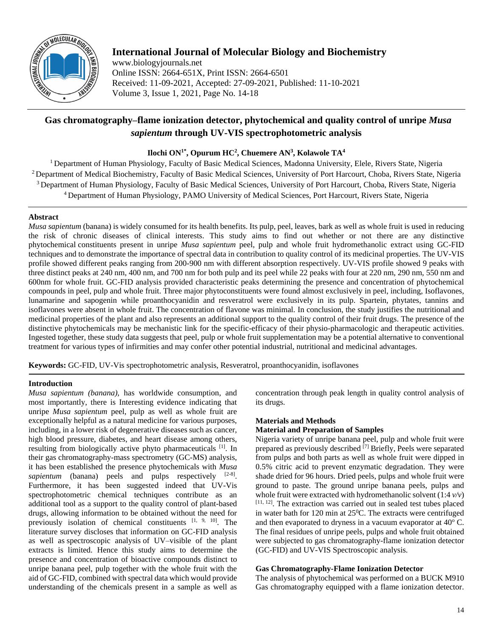

# **International Journal of Molecular Biology and Biochemistry**

www.biologyjournals.net Online ISSN: 2664-651X, Print ISSN: 2664-6501 Received: 11-09-2021, Accepted: 27-09-2021, Published: 11-10-2021 Volume 3, Issue 1, 2021, Page No. 14-18

# **Gas chromatography–flame ionization detector, phytochemical and quality control of unripe** *Musa sapientum* **through UV-VIS spectrophotometric analysis**

# **Ilochi ON1\*, Opurum HC<sup>2</sup> , Chuemere AN<sup>3</sup> , Kolawole TA<sup>4</sup>**

<sup>1</sup> Department of Human Physiology, Faculty of Basic Medical Sciences, Madonna University, Elele, Rivers State, Nigeria <sup>2</sup> Department of Medical Biochemistry, Faculty of Basic Medical Sciences, University of Port Harcourt, Choba, Rivers State, Nigeria <sup>3</sup> Department of Human Physiology, Faculty of Basic Medical Sciences, University of Port Harcourt, Choba, Rivers State, Nigeria <sup>4</sup> Department of Human Physiology, PAMO University of Medical Sciences, Port Harcourt, Rivers State, Nigeria

## **Abstract**

*Musa sapientum* (banana) is widely consumed for its health benefits. Its pulp, peel, leaves, bark as well as whole fruit is used in reducing the risk of chronic diseases of clinical interests. This study aims to find out whether or not there are any distinctive phytochemical constituents present in unripe *Musa sapientum* peel, pulp and whole fruit hydromethanolic extract using GC-FID techniques and to demonstrate the importance of spectral data in contribution to quality control of its medicinal properties. The UV-VIS profile showed different peaks ranging from 200-900 nm with different absorption respectively. UV-VIS profile showed 9 peaks with three distinct peaks at 240 nm, 400 nm, and 700 nm for both pulp and its peel while 22 peaks with four at 220 nm, 290 nm, 550 nm and 600nm for whole fruit. GC-FID analysis provided characteristic peaks determining the presence and concentration of phytochemical compounds in peel, pulp and whole fruit. Three major phytoconstituents were found almost exclusively in peel, including, Isoflavones, lunamarine and sapogenin while proanthocyanidin and resveratrol were exclusively in its pulp. Spartein, phytates, tannins and isoflavones were absent in whole fruit. The concentration of flavone was minimal. In conclusion, the study justifies the nutritional and medicinal properties of the plant and also represents an additional support to the quality control of their fruit drugs. The presence of the distinctive phytochemicals may be mechanistic link for the specific-efficacy of their physio-pharmacologic and therapeutic activities. Ingested together, these study data suggests that peel, pulp or whole fruit supplementation may be a potential alternative to conventional treatment for various types of infirmities and may confer other potential industrial, nutritional and medicinal advantages.

**Keywords:** GC-FID, UV-Vis spectrophotometric analysis, Resveratrol, proanthocyanidin, isoflavones

## **Introduction**

*Musa sapientum (banana),* has worldwide consumption, and most importantly, there is Interesting evidence indicating that unripe *Musa sapientum* peel, pulp as well as whole fruit are exceptionally helpful as a natural medicine for various purposes, including, in a lower risk of degenerative diseases such as cancer, high blood pressure, diabetes, and heart disease among others, resulting from biologically active phyto pharmaceuticals [1]. In their gas chromatography-mass spectrometry (GC-MS) analysis, it has been established the presence phytochemicals with *Musa*  sapientum (banana) peels and pulps respectively <sup>[2-8]</sup>. Furthermore, it has been suggested indeed that UV-Vis spectrophotometric chemical techniques contribute as an additional tool as a support to the quality control of plant-based drugs, allowing information to be obtained without the need for previously isolation of chemical constituents [1, 9, 10]. The literature survey discloses that information on GC-FID analysis as well as spectroscopic analysis of UV–visible of the plant extracts is limited. Hence this study aims to determine the presence and concentration of bioactive compounds distinct to unripe banana peel, pulp together with the whole fruit with the aid of GC-FID, combined with spectral data which would provide understanding of the chemicals present in a sample as well as

concentration through peak length in quality control analysis of its drugs.

## **Materials and Methods**

## **Material and Preparation of Samples**

Nigeria variety of unripe banana peel, pulp and whole fruit were prepared as previously described  $^{[7]}$  Briefly, Peels were separated from pulps and both parts as well as whole fruit were dipped in 0.5% citric acid to prevent enzymatic degradation. They were shade dried for 96 hours. Dried peels, pulps and whole fruit were ground to paste. The ground unripe banana peels, pulps and whole fruit were extracted with hydromethanolic solvent  $(1:4 \nu/\nu)$ [11, 12] . The extraction was carried out in sealed test tubes placed in water bath for 120 min at  $25^{\circ}$ C. The extracts were centrifuged and then evaporated to dryness in a vacuum evaporator at  $40^{\circ}$  C. The final residues of unripe peels, pulps and whole fruit obtained were subjected to gas chromatography-flame ionization detector (GC-FID) and UV-VIS Spectroscopic analysis.

## **Gas Chromatography-Flame Ionization Detector**

The analysis of phytochemical was performed on a BUCK M910 Gas chromatography equipped with a flame ionization detector.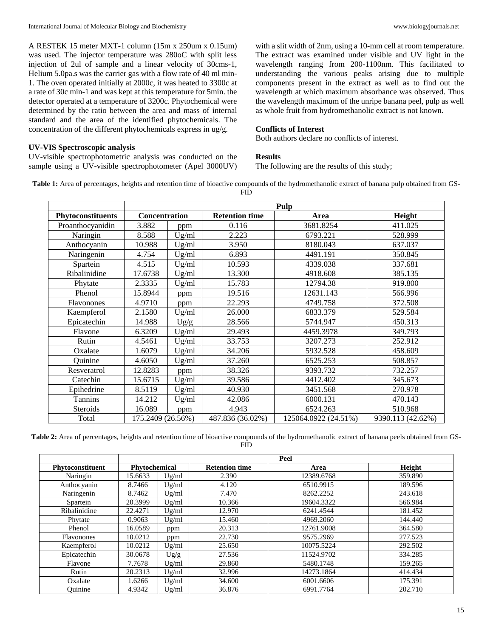A RESTEK 15 meter MXT-1 column (15m x 250um x 0.15um) was used. The injector temperature was 280oC with split less injection of 2ul of sample and a linear velocity of 30cms-1, Helium 5.0pa.s was the carrier gas with a flow rate of 40 ml min-1. The oven operated initially at 2000c, it was heated to 3300c at a rate of 30c min-1 and was kept at this temperature for 5min. the detector operated at a temperature of 3200c. Phytochemical were determined by the ratio between the area and mass of internal standard and the area of the identified phytochemicals. The concentration of the different phytochemicals express in ug/g.

#### **UV-VIS Spectroscopic analysis**

UV-visible spectrophotometric analysis was conducted on the sample using a UV-visible spectrophotometer (Apel 3000UV)

with a slit width of 2nm, using a 10-mm cell at room temperature. The extract was examined under visible and UV light in the wavelength ranging from 200-1100nm. This facilitated to understanding the various peaks arising due to multiple components present in the extract as well as to find out the wavelength at which maximum absorbance was observed. Thus the wavelength maximum of the unripe banana peel, pulp as well as whole fruit from hydromethanolic extract is not known.

#### **Conflicts of Interest**

Both authors declare no conflicts of interest.

#### **Results**

The following are the results of this study;

**Table 1:** Area of percentages, heights and retention time of bioactive compounds of the hydromethanolic extract of banana pulp obtained from GS-FID

|                          | Pulp              |       |                       |                      |                   |  |
|--------------------------|-------------------|-------|-----------------------|----------------------|-------------------|--|
| <b>Phytoconstituents</b> | Concentration     |       | <b>Retention time</b> | Area                 | Height            |  |
| Proanthocyanidin         | 3.882             | ppm   | 0.116                 | 3681.8254            | 411.025           |  |
| Naringin                 | 8.588             | Ug/ml | 2.223                 | 6793.221             | 528.999           |  |
| Anthocyanin              | 10.988            | Ug/ml | 3.950                 | 8180.043             | 637.037           |  |
| Naringenin               | 4.754             | Ug/ml | 6.893                 | 4491.191             | 350.845           |  |
| Spartein                 | 4.515             | Ug/ml | 10.593                | 4339.038             | 337.681           |  |
| Ribalinidine             | 17.6738           | Ug/ml | 13.300                | 4918.608             | 385.135           |  |
| Phytate                  | 2.3335            | Ug/ml | 15.783                | 12794.38             | 919.800           |  |
| Phenol                   | 15.8944           | ppm   | 19.516                | 12631.143            | 566.996           |  |
| <b>Flavonones</b>        | 4.9710            | ppm   | 22.293                | 4749.758             | 372.508           |  |
| Kaempferol               | 2.1580            | Ug/ml | 26.000                | 6833.379             | 529.584           |  |
| Epicatechin              | 14.988            | Ug/g  | 28.566                | 5744.947             | 450.313           |  |
| Flavone                  | 6.3209            | Ug/ml | 29.493                | 4459.3978            | 349.793           |  |
| Rutin                    | 4.5461            | Ug/ml | 33.753                | 3207.273             | 252.912           |  |
| Oxalate                  | 1.6079            | Ug/ml | 34.206                | 5932.528             | 458.609           |  |
| Quinine                  | 4.6050            | Ug/ml | 37.260                | 6525.253             | 508.857           |  |
| Resveratrol              | 12.8283           | ppm   | 38.326                | 9393.732             | 732.257           |  |
| Catechin                 | 15.6715           | Ug/ml | 39.586                | 4412.402             | 345.673           |  |
| Epihedrine               | 8.5119            | Ug/ml | 40.930                | 3451.568             | 270.978           |  |
| Tannins                  | 14.212            | Ug/ml | 42.086                | 6000.131             | 470.143           |  |
| Steroids                 | 16.089            | ppm   | 4.943                 | 6524.263             | 510.968           |  |
| Total                    | 175.2409 (26.56%) |       | 487.836 (36.02%)      | 125064.0922 (24.51%) | 9390.113 (42.62%) |  |

**Table 2:** Area of percentages, heights and retention time of bioactive compounds of the hydromethanolic extract of banana peels obtained from GS-FID

|                   | Peel          |       |                       |            |         |  |
|-------------------|---------------|-------|-----------------------|------------|---------|--|
| Phytoconstituent  | Phytochemical |       | <b>Retention time</b> | Area       | Height  |  |
| Naringin          | 15.6633       | Ug/ml | 2.390                 | 12389.6768 | 359.890 |  |
| Anthocyanin       | 8.7466        | Ug/ml | 4.120                 | 6510.9915  | 189.596 |  |
| Naringenin        | 8.7462        | Ug/ml | 7.470                 | 8262.2252  | 243.618 |  |
| Spartein          | 20.3999       | Ug/ml | 10.366                | 19604.3322 | 566.984 |  |
| Ribalinidine      | 22.4271       | Ug/ml | 12.970                | 6241.4544  | 181.452 |  |
| Phytate           | 0.9063        | Ug/ml | 15.460                | 4969.2060  | 144.440 |  |
| Phenol            | 16.0589       | ppm   | 20.313                | 12761.9008 | 364.580 |  |
| <b>Flavonones</b> | 10.0212       | ppm   | 22.730                | 9575.2969  | 277.523 |  |
| Kaempferol        | 10.0212       | Ug/ml | 25.650                | 10075.5224 | 292.502 |  |
| Epicatechin       | 30.0678       | Ug/g  | 27.536                | 11524.9702 | 334.285 |  |
| Flavone           | 7.7678        | Ug/ml | 29.860                | 5480.1748  | 159.265 |  |
| Rutin             | 20.2313       | Ug/ml | 32.996                | 14273.1864 | 414.434 |  |
| Oxalate           | 1.6266        | Ug/ml | 34.600                | 6001.6606  | 175.391 |  |
| Ouinine           | 4.9342        | Ug/ml | 36.876                | 6991.7764  | 202.710 |  |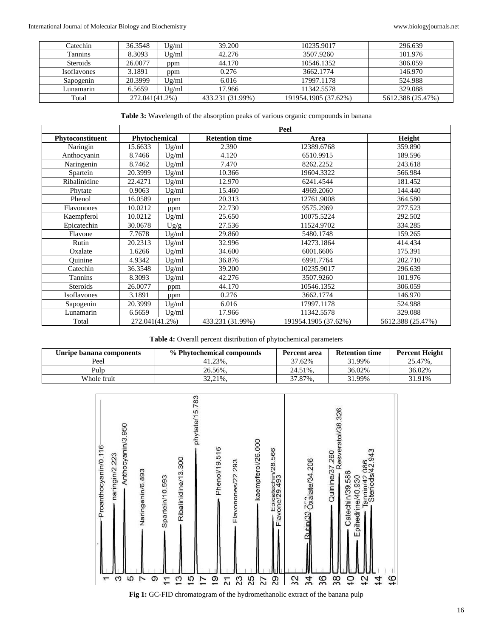International Journal of Molecular Biology and Biochemistry <www.biologyjournals.net>

| Catechin           | 36.3548        | Ug/ml | 39.200           | 10235.9017           | 296.639           |
|--------------------|----------------|-------|------------------|----------------------|-------------------|
| <b>Tannins</b>     | 8.3093         | Ug/ml | 42.276           | 3507.9260            | 101.976           |
| <b>Steroids</b>    | 26.0077        | ppm   | 44.170           | 10546.1352           | 306.059           |
| <b>Isoflavones</b> | 3.1891         | ppm   | 0.276            | 3662.1774            | 146.970           |
| Sapogenin          | 20.3999        | Ug/ml | 6.016            | 17997.1178           | 524.988           |
| Lunamarin          | 6.5659         | Ug/ml | 17.966           | 11342.5578           | 329.088           |
| Total              | 272.041(41.2%) |       | 433.231 (31.99%) | 191954.1905 (37.62%) | 5612.388 (25.47%) |

**Table 3:** Wavelength of the absorption peaks of various organic compounds in banana

|                  | Peel           |       |                       |                      |                   |  |
|------------------|----------------|-------|-----------------------|----------------------|-------------------|--|
| Phytoconstituent | Phytochemical  |       | <b>Retention time</b> | Area                 | Height            |  |
| Naringin         | 15.6633        | Ug/ml | 2.390                 | 12389.6768           | 359.890           |  |
| Anthocyanin      | 8.7466         | Ug/ml | 4.120                 | 6510.9915            | 189.596           |  |
| Naringenin       | 8.7462         | Ug/ml | 7.470                 | 8262.2252            | 243.618           |  |
| Spartein         | 20.3999        | Ug/ml | 10.366                | 19604.3322           | 566.984           |  |
| Ribalinidine     | 22.4271        | Ug/ml | 12.970                | 6241.4544            | 181.452           |  |
| Phytate          | 0.9063         | Ug/ml | 15.460                | 4969.2060            | 144.440           |  |
| Phenol           | 16.0589        | ppm   | 20.313                | 12761.9008           | 364.580           |  |
| Flavonones       | 10.0212        | ppm   | 22.730                | 9575.2969            | 277.523           |  |
| Kaempferol       | 10.0212        | Ug/ml | 25.650                | 10075.5224           | 292.502           |  |
| Epicatechin      | 30.0678        | Ug/g  | 27.536                | 11524.9702           | 334.285           |  |
| Flavone          | 7.7678         | Ug/ml | 29.860                | 5480.1748            | 159.265           |  |
| Rutin            | 20.2313        | Ug/ml | 32.996                | 14273.1864           | 414.434           |  |
| Oxalate          | 1.6266         | Ug/ml | 34.600                | 6001.6606            | 175.391           |  |
| Ouinine          | 4.9342         | Ug/ml | 36.876                | 6991.7764            | 202.710           |  |
| Catechin         | 36.3548        | Ug/ml | 39.200                | 10235.9017           | 296.639           |  |
| Tannins          | 8.3093         | Ug/ml | 42.276                | 3507.9260            | 101.976           |  |
| <b>Steroids</b>  | 26.0077        | ppm   | 44.170                | 10546.1352           | 306.059           |  |
| Isoflavones      | 3.1891         | ppm   | 0.276                 | 3662.1774            | 146.970           |  |
| Sapogenin        | 20.3999        | Ug/ml | 6.016                 | 17997.1178           | 524.988           |  |
| Lunamarin        | 6.5659         | Ug/ml | 17.966                | 11342.5578           | 329.088           |  |
| Total            | 272.041(41.2%) |       | 433.231 (31.99%)      | 191954.1905 (37.62%) | 5612.388 (25.47%) |  |

**Table 4:** Overall percent distribution of phytochemical parameters

| Unripe banana components | % Phytochemical compounds | Percent area | <b>Retention time</b> | <b>Percent Height</b> |
|--------------------------|---------------------------|--------------|-----------------------|-----------------------|
| Peel                     | 41.23%.                   | 37.62%       | 31.99%                | 25.47%.               |
| Pulp                     | 26.56%.                   | 24.51%.      | 36.02%                | 36.02%                |
| Whole fruit              | 32,21%,                   | 37.87%,      | 31.99%                | 31.91%                |



**Fig 1:** GC-FID chromatogram of the hydromethanolic extract of the banana pulp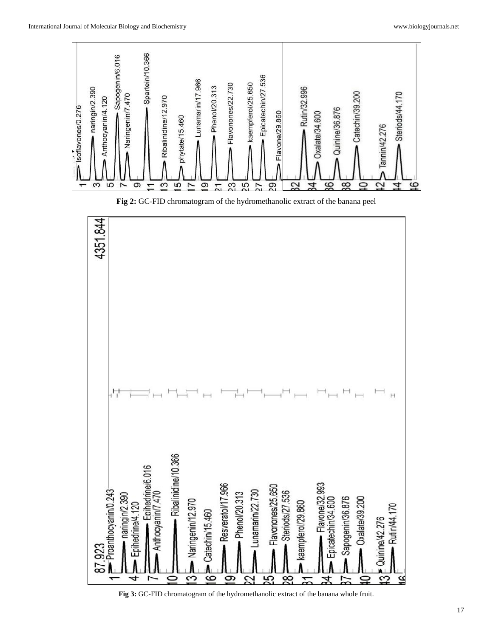

**Fig 2:** GC-FID chromatogram of the hydromethanolic extract of the banana peel



**Fig 3:** GC-FID chromatogram of the hydromethanolic extract of the banana whole fruit.